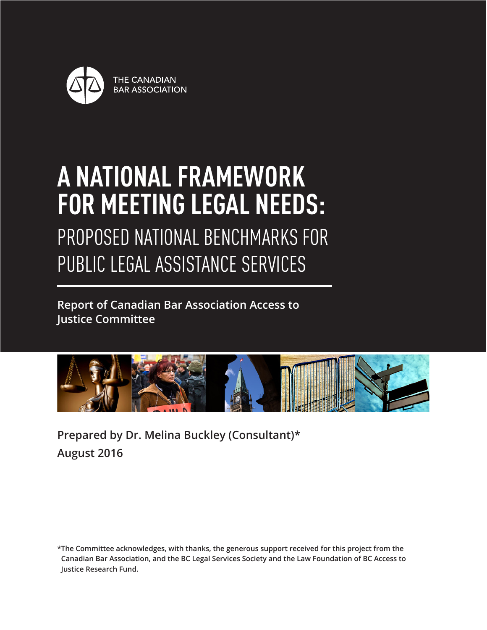

# **A NATIONAL FRAMEWORK FOR MEETING LEGAL NEEDS:**

PROPOSED NATIONAL BENCHMARKS FOR PUBLIC LEGAL ASSISTANCE SERVICES

**Report of Canadian Bar Association Access to Justice Committee**



**Prepared by Dr. Melina Buckley (Consultant)\* August 2016**

**\*The Committee acknowledges, with thanks, the generous support received for this project from the Canadian Bar Association, and the BC Legal Services Society and the Law Foundation of BC Access to Justice Research Fund.**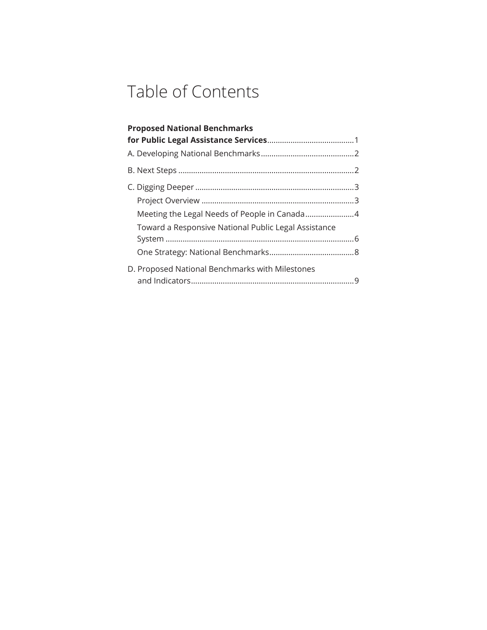# Table of Contents

| <b>Proposed National Benchmarks</b>                  |  |
|------------------------------------------------------|--|
|                                                      |  |
|                                                      |  |
|                                                      |  |
|                                                      |  |
|                                                      |  |
| Toward a Responsive National Public Legal Assistance |  |
|                                                      |  |
| D. Proposed National Benchmarks with Milestones      |  |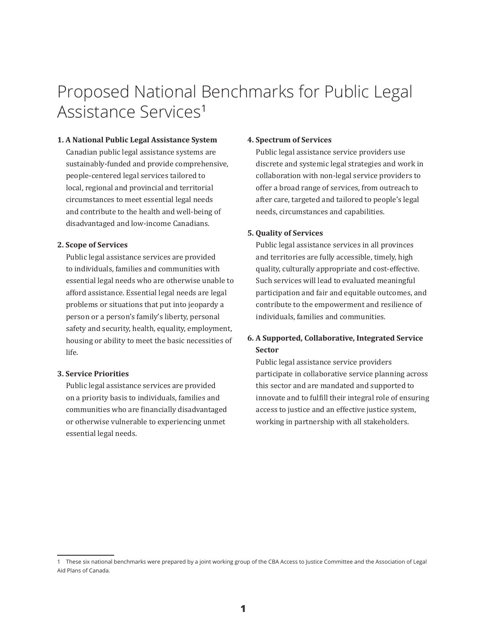## Proposed National Benchmarks for Public Legal Assistance Services<sup>1</sup>

#### **1. A National Public Legal Assistance System**

Canadian public legal assistance systems are sustainably-funded and provide comprehensive, people-centered legal services tailored to local, regional and provincial and territorial circumstances to meet essential legal needs and contribute to the health and well-being of disadvantaged and low-income Canadians.

#### **2. Scope of Services**

Public legal assistance services are provided to individuals, families and communities with essential legal needs who are otherwise unable to afford assistance. Essential legal needs are legal problems or situations that put into jeopardy a person or a person's family's liberty, personal safety and security, health, equality, employment, housing or ability to meet the basic necessities of life.

#### **3. Service Priorities**

Public legal assistance services are provided on a priority basis to individuals, families and communities who are financially disadvantaged or otherwise vulnerable to experiencing unmet essential legal needs.

#### **4. Spectrum of Services**

Public legal assistance service providers use discrete and systemic legal strategies and work in collaboration with non-legal service providers to offer a broad range of services, from outreach to after care, targeted and tailored to people's legal needs, circumstances and capabilities.

#### **5. Quality of Services**

Public legal assistance services in all provinces and territories are fully accessible, timely, high quality, culturally appropriate and cost-effective. Such services will lead to evaluated meaningful participation and fair and equitable outcomes, and contribute to the empowerment and resilience of individuals, families and communities.

### **6. A Supported, Collaborative, Integrated Service Sector**

Public legal assistance service providers participate in collaborative service planning across this sector and are mandated and supported to innovate and to fulfill their integral role of ensuring access to justice and an effective justice system, working in partnership with all stakeholders.

<sup>1</sup> These six national benchmarks were prepared by a joint working group of the CBA Access to Justice Committee and the Association of Legal Aid Plans of Canada.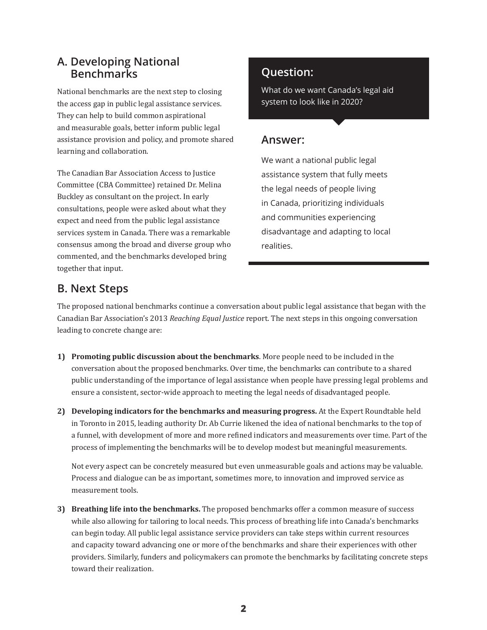### **A. Developing National Benchmarks**

National benchmarks are the next step to closing the access gap in public legal assistance services. They can help to build common aspirational and measurable goals, better inform public legal assistance provision and policy, and promote shared learning and collaboration.

The Canadian Bar Association Access to Justice Committee (CBA Committee) retained Dr. Melina Buckley as consultant on the project. In early consultations, people were asked about what they expect and need from the public legal assistance services system in Canada. There was a remarkable consensus among the broad and diverse group who commented, and the benchmarks developed bring together that input.

### **Question:**

What do we want Canada's legal aid system to look like in 2020?

### **Answer:**

We want a national public legal assistance system that fully meets the legal needs of people living in Canada, prioritizing individuals and communities experiencing disadvantage and adapting to local realities.

### **B. Next Steps**

The proposed national benchmarks continue a conversation about public legal assistance that began with the Canadian Bar Association's 2013 *Reaching Equal Justice* report. The next steps in this ongoing conversation leading to concrete change are:

- **1) Promoting public discussion about the benchmarks**. More people need to be included in the conversation about the proposed benchmarks. Over time, the benchmarks can contribute to a shared public understanding of the importance of legal assistance when people have pressing legal problems and ensure a consistent, sector-wide approach to meeting the legal needs of disadvantaged people.
- **2) Developing indicators for the benchmarks and measuring progress.** At the Expert Roundtable held in Toronto in 2015, leading authority Dr. Ab Currie likened the idea of national benchmarks to the top of a funnel, with development of more and more refined indicators and measurements over time. Part of the process of implementing the benchmarks will be to develop modest but meaningful measurements.

 Not every aspect can be concretely measured but even unmeasurable goals and actions may be valuable. Process and dialogue can be as important, sometimes more, to innovation and improved service as measurement tools.

**3) Breathing life into the benchmarks.** The proposed benchmarks offer a common measure of success while also allowing for tailoring to local needs. This process of breathing life into Canada's benchmarks can begin today. All public legal assistance service providers can take steps within current resources and capacity toward advancing one or more of the benchmarks and share their experiences with other providers. Similarly, funders and policymakers can promote the benchmarks by facilitating concrete steps toward their realization.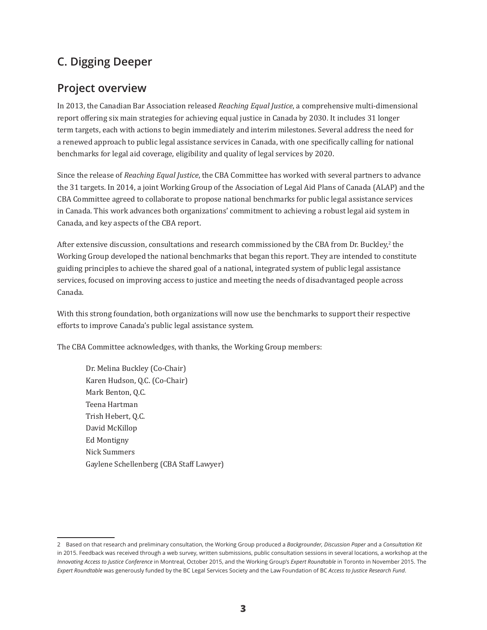### **C. Digging Deeper**

### **Project overview**

In 2013, the Canadian Bar Association released *Reaching Equal Justice*, a comprehensive multi-dimensional report offering six main strategies for achieving equal justice in Canada by 2030. It includes 31 longer term targets, each with actions to begin immediately and interim milestones. Several address the need for a renewed approach to public legal assistance services in Canada, with one specifically calling for national benchmarks for legal aid coverage, eligibility and quality of legal services by 2020.

Since the release of *Reaching Equal Justice*, the CBA Committee has worked with several partners to advance the 31 targets. In 2014, a joint Working Group of the Association of Legal Aid Plans of Canada (ALAP) and the CBA Committee agreed to collaborate to propose national benchmarks for public legal assistance services in Canada. This work advances both organizations' commitment to achieving a robust legal aid system in Canada, and key aspects of the CBA report.

After extensive discussion, consultations and research commissioned by the CBA from Dr. Buckley, $^2$  the Working Group developed the national benchmarks that began this report. They are intended to constitute guiding principles to achieve the shared goal of a national, integrated system of public legal assistance services, focused on improving access to justice and meeting the needs of disadvantaged people across Canada.

With this strong foundation, both organizations will now use the benchmarks to support their respective efforts to improve Canada's public legal assistance system.

The CBA Committee acknowledges, with thanks, the Working Group members:

Dr. Melina Buckley (Co-Chair) Karen Hudson, Q.C. (Co-Chair) Mark Benton, Q.C. Teena Hartman Trish Hebert, Q.C. David McKillop Ed Montigny Nick Summers Gaylene Schellenberg (CBA Staff Lawyer)

<sup>2</sup> Based on that research and preliminary consultation, the Working Group produced a *Backgrounder, Discussion Paper* and a *Consultation Kit* in 2015. Feedback was received through a web survey, written submissions, public consultation sessions in several locations, a workshop at the *Innovating Access to Justice Conference* in Montreal, October 2015, and the Working Group's *Expert Roundtable* in Toronto in November 2015. The *Expert Roundtable* was generously funded by the BC Legal Services Society and the Law Foundation of BC *Access to Justice Research Fund*.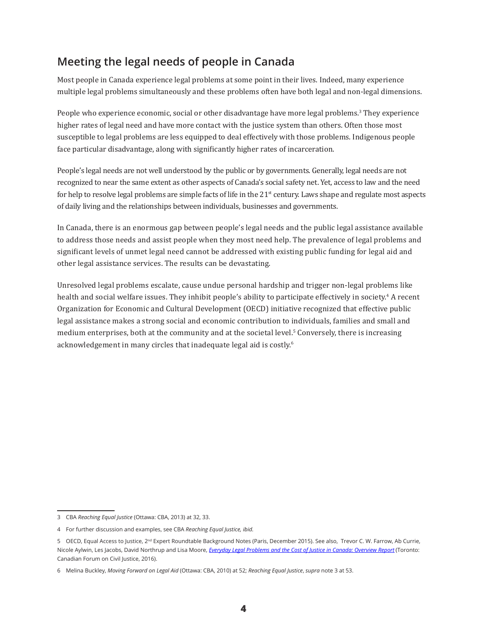### **Meeting the legal needs of people in Canada**

Most people in Canada experience legal problems at some point in their lives. Indeed, many experience multiple legal problems simultaneously and these problems often have both legal and non-legal dimensions.

People who experience economic, social or other disadvantage have more legal problems.<sup>3</sup> They experience higher rates of legal need and have more contact with the justice system than others. Often those most susceptible to legal problems are less equipped to deal effectively with those problems. Indigenous people face particular disadvantage, along with significantly higher rates of incarceration.

People's legal needs are not well understood by the public or by governments. Generally, legal needs are not recognized to near the same extent as other aspects of Canada's social safety net. Yet, access to law and the need for help to resolve legal problems are simple facts of life in the  $21<sup>st</sup>$  century. Laws shape and regulate most aspects of daily living and the relationships between individuals, businesses and governments.

In Canada, there is an enormous gap between people's legal needs and the public legal assistance available to address those needs and assist people when they most need help. The prevalence of legal problems and significant levels of unmet legal need cannot be addressed with existing public funding for legal aid and other legal assistance services. The results can be devastating.

Unresolved legal problems escalate, cause undue personal hardship and trigger non-legal problems like health and social welfare issues. They inhibit people's ability to participate effectively in society.<sup>4</sup> A recent Organization for Economic and Cultural Development (OECD) initiative recognized that effective public legal assistance makes a strong social and economic contribution to individuals, families and small and medium enterprises, both at the community and at the societal level.<sup>5</sup> Conversely, there is increasing acknowledgement in many circles that inadequate legal aid is costly.<sup>6</sup>

<sup>3</sup> CBA *Reaching Equal Justice* (Ottawa: CBA, 2013) at 32, 33.

<sup>4</sup> For further discussion and examples, see CBA *Reaching Equal Justice, ibid.*

<sup>5</sup> OECD, Equal Access to Justice, 2<sup>nd</sup> Expert Roundtable Background Notes (Paris, December 2015). See also, Trevor C. W. Farrow, Ab Currie, Nicole Aylwin, Les Jacobs, David Northrup and Lisa Moore, *[Everyday Legal Problems and the Cost of Justice in Canada: Overview Report](http://www.cfcj-fcjc.org/sites/default/files/Everyday%20Legal%20Problems%20and%20the%20Cost%20of%20Justice%20in%20Canada%20-%20Overview%20Report.pdf)* (Toronto: Canadian Forum on Civil Justice, 2016).

<sup>6</sup> Melina Buckley, *Moving Forward on Legal Aid* (Ottawa: CBA, 2010) at 52; *Reaching Equal Justice*, *supra* note 3 at 53.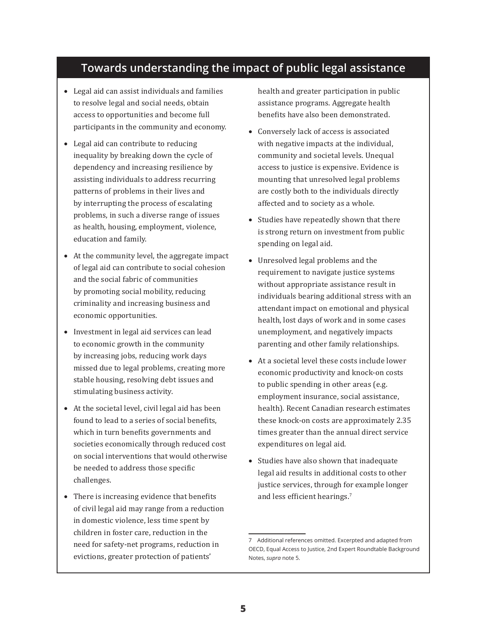### **Towards understanding the impact of public legal assistance**

- Legal aid can assist individuals and families to resolve legal and social needs, obtain access to opportunities and become full participants in the community and economy.
- Legal aid can contribute to reducing inequality by breaking down the cycle of dependency and increasing resilience by assisting individuals to address recurring patterns of problems in their lives and by interrupting the process of escalating problems, in such a diverse range of issues as health, housing, employment, violence, education and family.
- At the community level, the aggregate impact of legal aid can contribute to social cohesion and the social fabric of communities by promoting social mobility, reducing criminality and increasing business and economic opportunities.
- Investment in legal aid services can lead to economic growth in the community by increasing jobs, reducing work days missed due to legal problems, creating more stable housing, resolving debt issues and stimulating business activity.
- At the societal level, civil legal aid has been found to lead to a series of social benefits, which in turn benefits governments and societies economically through reduced cost on social interventions that would otherwise be needed to address those specific challenges.
- There is increasing evidence that benefits of civil legal aid may range from a reduction in domestic violence, less time spent by children in foster care, reduction in the need for safety-net programs, reduction in evictions, greater protection of patients'

health and greater participation in public assistance programs. Aggregate health benefits have also been demonstrated.

- Conversely lack of access is associated with negative impacts at the individual, community and societal levels. Unequal access to justice is expensive. Evidence is mounting that unresolved legal problems are costly both to the individuals directly affected and to society as a whole.
- Studies have repeatedly shown that there is strong return on investment from public spending on legal aid.
- Unresolved legal problems and the requirement to navigate justice systems without appropriate assistance result in individuals bearing additional stress with an attendant impact on emotional and physical health, lost days of work and in some cases unemployment, and negatively impacts parenting and other family relationships.
- At a societal level these costs include lower economic productivity and knock-on costs to public spending in other areas (e.g. employment insurance, social assistance, health). Recent Canadian research estimates these knock-on costs are approximately 2.35 times greater than the annual direct service expenditures on legal aid.
- Studies have also shown that inadequate legal aid results in additional costs to other justice services, through for example longer and less efficient hearings.<sup>7</sup>

<sup>7</sup> Additional references omitted. Excerpted and adapted from OECD, Equal Access to Justice, 2nd Expert Roundtable Background Notes, *supra* note 5.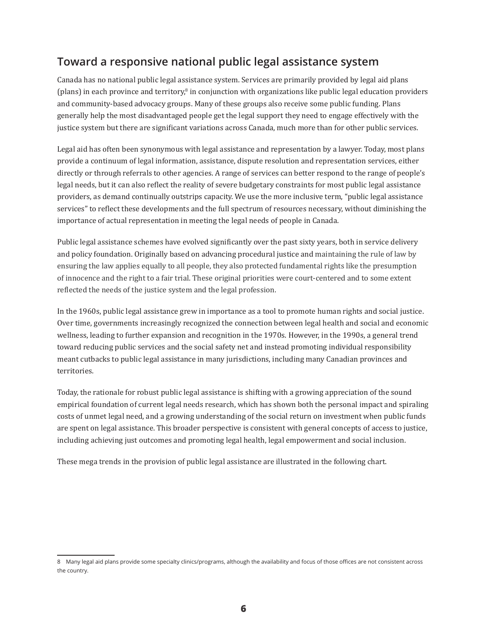### **Toward a responsive national public legal assistance system**

Canada has no national public legal assistance system. Services are primarily provided by legal aid plans (plans) in each province and territory,<sup>8</sup> in conjunction with organizations like public legal education providers and community-based advocacy groups. Many of these groups also receive some public funding. Plans generally help the most disadvantaged people get the legal support they need to engage effectively with the justice system but there are significant variations across Canada, much more than for other public services.

Legal aid has often been synonymous with legal assistance and representation by a lawyer. Today, most plans provide a continuum of legal information, assistance, dispute resolution and representation services, either directly or through referrals to other agencies. A range of services can better respond to the range of people's legal needs, but it can also reflect the reality of severe budgetary constraints for most public legal assistance providers, as demand continually outstrips capacity. We use the more inclusive term, "public legal assistance services" to reflect these developments and the full spectrum of resources necessary, without diminishing the importance of actual representation in meeting the legal needs of people in Canada.

Public legal assistance schemes have evolved significantly over the past sixty years, both in service delivery and policy foundation. Originally based on advancing procedural justice and maintaining the rule of law by ensuring the law applies equally to all people, they also protected fundamental rights like the presumption of innocence and the right to a fair trial. These original priorities were court-centered and to some extent reflected the needs of the justice system and the legal profession.

In the 1960s, public legal assistance grew in importance as a tool to promote human rights and social justice. Over time, governments increasingly recognized the connection between legal health and social and economic wellness, leading to further expansion and recognition in the 1970s. However, in the 1990s, a general trend toward reducing public services and the social safety net and instead promoting individual responsibility meant cutbacks to public legal assistance in many jurisdictions, including many Canadian provinces and territories.

Today, the rationale for robust public legal assistance is shifting with a growing appreciation of the sound empirical foundation of current legal needs research, which has shown both the personal impact and spiraling costs of unmet legal need, and a growing understanding of the social return on investment when public funds are spent on legal assistance. This broader perspective is consistent with general concepts of access to justice, including achieving just outcomes and promoting legal health, legal empowerment and social inclusion.

These mega trends in the provision of public legal assistance are illustrated in the following chart.

<sup>8</sup> Many legal aid plans provide some specialty clinics/programs, although the availability and focus of those offices are not consistent across the country.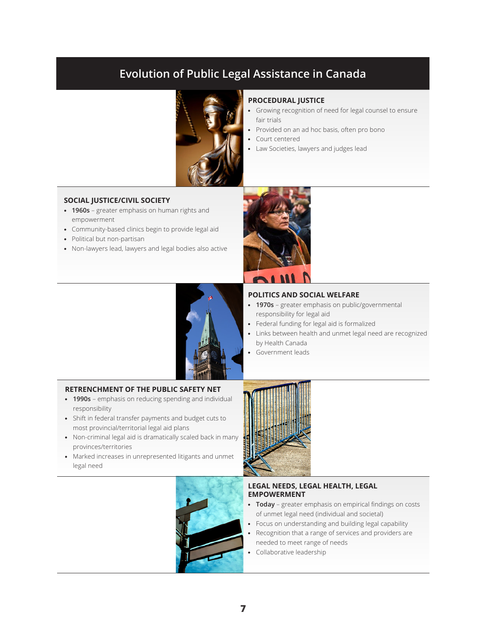### **Evolution of Public Legal Assistance in Canada**



#### **PROCEDURAL JUSTICE**

- Growing recognition of need for legal counsel to ensure fair trials
- Provided on an ad hoc basis, often pro bono
- Court centered
- Law Societies, lawyers and judges lead

#### **SOCIAL JUSTICE/CIVIL SOCIETY**

- **1960s**  greater emphasis on human rights and empowerment
- Community-based clinics begin to provide legal aid
- Political but non-partisan
- Non-lawyers lead, lawyers and legal bodies also active





#### **POLITICS AND SOCIAL WELFARE**

- **1970s** greater emphasis on public/governmental responsibility for legal aid
- Federal funding for legal aid is formalized
- Links between health and unmet legal need are recognized by Health Canada
- Government leads

#### **RETRENCHMENT OF THE PUBLIC SAFETY NET**

- **1990s** emphasis on reducing spending and individual responsibility
- Shift in federal transfer payments and budget cuts to most provincial/territorial legal aid plans
- Non-criminal legal aid is dramatically scaled back in many provinces/territories
- Marked increases in unrepresented litigants and unmet legal need





#### **LEGAL NEEDS, LEGAL HEALTH, LEGAL EMPOWERMENT**

- **Today** greater emphasis on empirical findings on costs of unmet legal need (individual and societal)
- Focus on understanding and building legal capability
- Recognition that a range of services and providers are needed to meet range of needs
- Collaborative leadership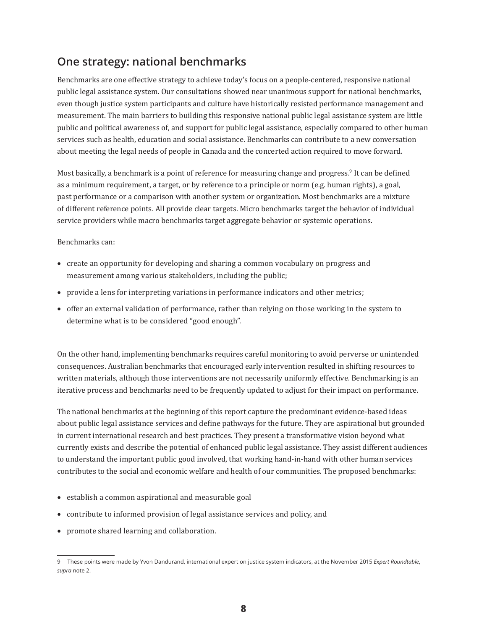### **One strategy: national benchmarks**

Benchmarks are one effective strategy to achieve today's focus on a people-centered, responsive national public legal assistance system. Our consultations showed near unanimous support for national benchmarks, even though justice system participants and culture have historically resisted performance management and measurement. The main barriers to building this responsive national public legal assistance system are little public and political awareness of, and support for public legal assistance, especially compared to other human services such as health, education and social assistance. Benchmarks can contribute to a new conversation about meeting the legal needs of people in Canada and the concerted action required to move forward.

Most basically, a benchmark is a point of reference for measuring change and progress.<sup>9</sup> It can be defined inter as a minimum requirement, a target, or by reference to a principle or norm (e.g. human rights), a goal, past performance or a comparison with another system or organization. Most benchmarks are a mixture of different reference points. All provide clear targets. Micro benchmarks target the behavior of individual service providers while macro benchmarks target aggregate behavior or systemic operations.

Benchmarks can:

- • create an opportunity for developing and sharing a common vocabulary on progress and measurement among various stakeholders, including the public;
- provide a lens for interpreting variations in performance indicators and other metrics;
- • offer an external validation of performance, rather than relying on those working in the system to determine what is to be considered "good enough".

On the other hand, implementing benchmarks requires careful monitoring to avoid perverse or unintended consequences. Australian benchmarks that encouraged early intervention resulted in shifting resources to written materials, although those interventions are not necessarily uniformly effective. Benchmarking is an iterative process and benchmarks need to be frequently updated to adjust for their impact on performance.

The national benchmarks at the beginning of this report capture the predominant evidence-based ideas about public legal assistance services and define pathways for the future. They are aspirational but grounded in current international research and best practices. They present a transformative vision beyond what currently exists and describe the potential of enhanced public legal assistance. They assist different audiences to understand the important public good involved, that working hand-in-hand with other human services contributes to the social and economic welfare and health of our communities. The proposed benchmarks:

- establish a common aspirational and measurable goal
- contribute to informed provision of legal assistance services and policy, and
- promote shared learning and collaboration.

<sup>9</sup> These points were made by Yvon Dandurand, international expert on justice system indicators, at the November 2015 *Expert Roundtable*, *supra* note 2.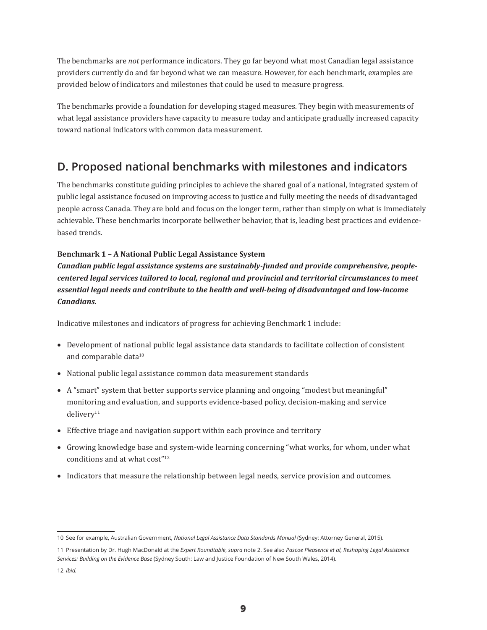The benchmarks are *not* performance indicators. They go far beyond what most Canadian legal assistance providers currently do and far beyond what we can measure. However, for each benchmark, examples are provided below of indicators and milestones that could be used to measure progress.

The benchmarks provide a foundation for developing staged measures. They begin with measurements of what legal assistance providers have capacity to measure today and anticipate gradually increased capacity toward national indicators with common data measurement.

### **D. Proposed national benchmarks with milestones and indicators**

The benchmarks constitute guiding principles to achieve the shared goal of a national, integrated system of public legal assistance focused on improving access to justice and fully meeting the needs of disadvantaged people across Canada. They are bold and focus on the longer term, rather than simply on what is immediately achievable. These benchmarks incorporate bellwether behavior, that is, leading best practices and evidencebased trends.

### **Benchmark 1 – A National Public Legal Assistance System**

*Canadian public legal assistance systems are sustainably-funded and provide comprehensive, peoplecentered legal services tailored to local, regional and provincial and territorial circumstances to meet essential legal needs and contribute to the health and well-being of disadvantaged and low-income Canadians.*

Indicative milestones and indicators of progress for achieving Benchmark 1 include:

- Development of national public legal assistance data standards to facilitate collection of consistent and comparable data<sup>10</sup>
- National public legal assistance common data measurement standards
- • A "smart" system that better supports service planning and ongoing "modest but meaningful" monitoring and evaluation, and supports evidence-based policy, decision-making and service  $deliverv<sup>11</sup>$
- Effective triage and navigation support within each province and territory
- • Growing knowledge base and system-wide learning concerning "what works, for whom, under what conditions and at what cost"<sup>12</sup>
- Indicators that measure the relationship between legal needs, service provision and outcomes.

<sup>10</sup> See for example, Australian Government, *National Legal Assistance Data Standards Manual* (Sydney: Attorney General, 2015).

<sup>11</sup> Presentation by Dr. Hugh MacDonald at the *Expert Roundtable*, *supra* note 2. See also *Pascoe Pleasence et al, Reshaping Legal Assistance Services: Building on the Evidence Base* (Sydney South: Law and Justice Foundation of New South Wales, 2014).

<sup>12</sup> *Ibid.*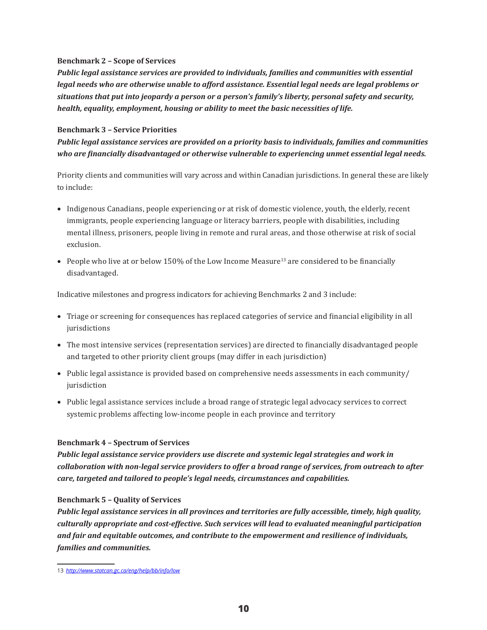### **Benchmark 2 – Scope of Services**

*Public legal assistance services are provided to individuals, families and communities with essential legal needs who are otherwise unable to afford assistance. Essential legal needs are legal problems or situations that put into jeopardy a person or a person's family's liberty, personal safety and security, health, equality, employment, housing or ability to meet the basic necessities of life.*

### **Benchmark 3 – Service Priorities**

*Public legal assistance services are provided on a priority basis to individuals, families and communities who are financially disadvantaged or otherwise vulnerable to experiencing unmet essential legal needs.*

Priority clients and communities will vary across and within Canadian jurisdictions. In general these are likely to include:

- • Indigenous Canadians, people experiencing or at risk of domestic violence, youth, the elderly, recent immigrants, people experiencing language or literacy barriers, people with disabilities, including mental illness, prisoners, people living in remote and rural areas, and those otherwise at risk of social exclusion.
- People who live at or below 150% of the Low Income Measure<sup>13</sup> are considered to be financially disadvantaged.

Indicative milestones and progress indicators for achieving Benchmarks 2 and 3 include:

- • Triage or screening for consequences has replaced categories of service and financial eligibility in all jurisdictions
- • The most intensive services (representation services) are directed to financially disadvantaged people and targeted to other priority client groups (may differ in each jurisdiction)
- • Public legal assistance is provided based on comprehensive needs assessments in each community/ jurisdiction
- • Public legal assistance services include a broad range of strategic legal advocacy services to correct systemic problems affecting low-income people in each province and territory

### **Benchmark 4 – Spectrum of Services**

*Public legal assistance service providers use discrete and systemic legal strategies and work in collaboration with non-legal service providers to offer a broad range of services, from outreach to after care, targeted and tailored to people's legal needs, circumstances and capabilities.* 

### **Benchmark 5 – Quality of Services**

*Public legal assistance services in all provinces and territories are fully accessible, timely, high quality, culturally appropriate and cost-effective. Such services will lead to evaluated meaningful participation and fair and equitable outcomes, and contribute to the empowerment and resilience of individuals, families and communities.*

<sup>13</sup> *<http://www.statcan.gc.ca/eng/help/bb/info/low>*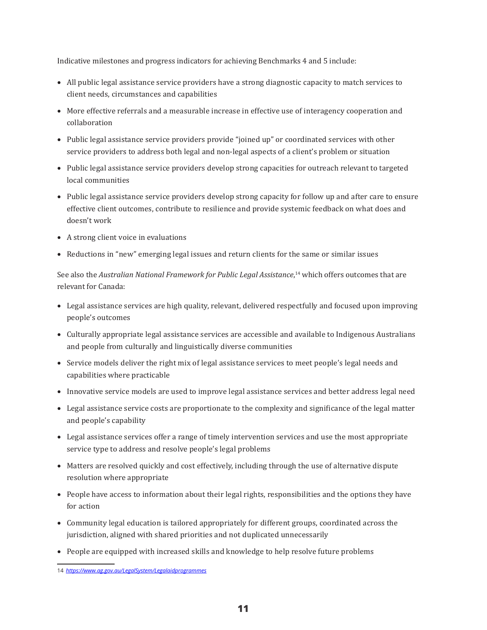Indicative milestones and progress indicators for achieving Benchmarks 4 and 5 include:

- • All public legal assistance service providers have a strong diagnostic capacity to match services to client needs, circumstances and capabilities
- • More effective referrals and a measurable increase in effective use of interagency cooperation and collaboration
- • Public legal assistance service providers provide "joined up" or coordinated services with other service providers to address both legal and non-legal aspects of a client's problem or situation
- Public legal assistance service providers develop strong capacities for outreach relevant to targeted local communities
- • Public legal assistance service providers develop strong capacity for follow up and after care to ensure effective client outcomes, contribute to resilience and provide systemic feedback on what does and doesn't work
- A strong client voice in evaluations
- • Reductions in "new" emerging legal issues and return clients for the same or similar issues

See also the *Australian National Framework for Public Legal Assistance*, 14 which offers outcomes that are relevant for Canada:

- • Legal assistance services are high quality, relevant, delivered respectfully and focused upon improving people's outcomes
- • Culturally appropriate legal assistance services are accessible and available to Indigenous Australians and people from culturally and linguistically diverse communities
- • Service models deliver the right mix of legal assistance services to meet people's legal needs and capabilities where practicable
- Innovative service models are used to improve legal assistance services and better address legal need
- • Legal assistance service costs are proportionate to the complexity and significance of the legal matter and people's capability
- • Legal assistance services offer a range of timely intervention services and use the most appropriate service type to address and resolve people's legal problems
- Matters are resolved quickly and cost effectively, including through the use of alternative dispute resolution where appropriate
- • People have access to information about their legal rights, responsibilities and the options they have for action
- • Community legal education is tailored appropriately for different groups, coordinated across the jurisdiction, aligned with shared priorities and not duplicated unnecessarily
- • People are equipped with increased skills and knowledge to help resolve future problems

<sup>14</sup> *<https://www.ag.gov.au/LegalSystem/Legalaidprogrammes>*